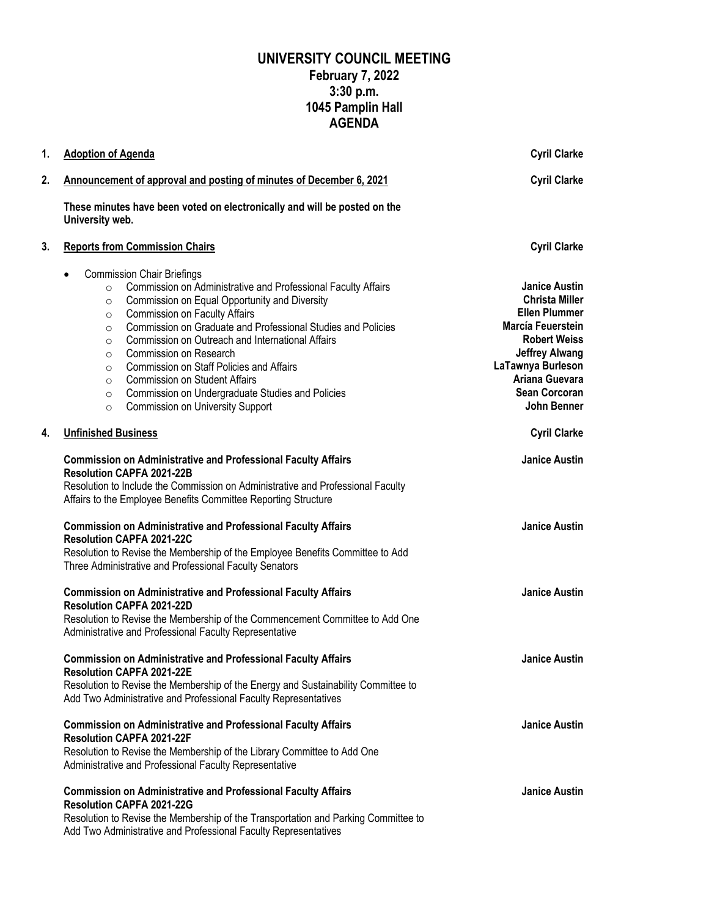## **UNIVERSITY COUNCIL MEETING February 7, 2022 3:30 p.m. 1045 Pamplin Hall AGENDA**

| 1. | <b>Adoption of Agenda</b>                                                                                                                                                                                                                                                                                                                                                                                                                                                                                                                                                                                                                  | <b>Cyril Clarke</b>                                                                                                                                                                                                      |
|----|--------------------------------------------------------------------------------------------------------------------------------------------------------------------------------------------------------------------------------------------------------------------------------------------------------------------------------------------------------------------------------------------------------------------------------------------------------------------------------------------------------------------------------------------------------------------------------------------------------------------------------------------|--------------------------------------------------------------------------------------------------------------------------------------------------------------------------------------------------------------------------|
| 2. | Announcement of approval and posting of minutes of December 6, 2021                                                                                                                                                                                                                                                                                                                                                                                                                                                                                                                                                                        | <b>Cyril Clarke</b>                                                                                                                                                                                                      |
|    | These minutes have been voted on electronically and will be posted on the<br>University web.                                                                                                                                                                                                                                                                                                                                                                                                                                                                                                                                               |                                                                                                                                                                                                                          |
| 3. | <b>Reports from Commission Chairs</b>                                                                                                                                                                                                                                                                                                                                                                                                                                                                                                                                                                                                      | <b>Cyril Clarke</b>                                                                                                                                                                                                      |
|    | <b>Commission Chair Briefings</b><br>Commission on Administrative and Professional Faculty Affairs<br>$\circ$<br>Commission on Equal Opportunity and Diversity<br>$\circ$<br><b>Commission on Faculty Affairs</b><br>$\circ$<br>Commission on Graduate and Professional Studies and Policies<br>$\circ$<br>Commission on Outreach and International Affairs<br>$\circ$<br>Commission on Research<br>$\circ$<br>Commission on Staff Policies and Affairs<br>$\circ$<br><b>Commission on Student Affairs</b><br>$\circ$<br>Commission on Undergraduate Studies and Policies<br>$\circ$<br><b>Commission on University Support</b><br>$\circ$ | <b>Janice Austin</b><br><b>Christa Miller</b><br><b>Ellen Plummer</b><br>Marcía Feuerstein<br><b>Robert Weiss</b><br><b>Jeffrey Alwang</b><br>LaTawnya Burleson<br>Ariana Guevara<br><b>Sean Corcoran</b><br>John Benner |
| 4. | <b>Unfinished Business</b>                                                                                                                                                                                                                                                                                                                                                                                                                                                                                                                                                                                                                 | <b>Cyril Clarke</b>                                                                                                                                                                                                      |
|    | <b>Commission on Administrative and Professional Faculty Affairs</b><br><b>Resolution CAPFA 2021-22B</b><br>Resolution to Include the Commission on Administrative and Professional Faculty<br>Affairs to the Employee Benefits Committee Reporting Structure                                                                                                                                                                                                                                                                                                                                                                              | <b>Janice Austin</b>                                                                                                                                                                                                     |
|    | <b>Commission on Administrative and Professional Faculty Affairs</b><br><b>Resolution CAPFA 2021-22C</b><br>Resolution to Revise the Membership of the Employee Benefits Committee to Add<br>Three Administrative and Professional Faculty Senators                                                                                                                                                                                                                                                                                                                                                                                        | <b>Janice Austin</b>                                                                                                                                                                                                     |
|    | <b>Commission on Administrative and Professional Faculty Affairs</b><br><b>Resolution CAPFA 2021-22D</b><br>Resolution to Revise the Membership of the Commencement Committee to Add One<br>Administrative and Professional Faculty Representative                                                                                                                                                                                                                                                                                                                                                                                         | <b>Janice Austin</b>                                                                                                                                                                                                     |
|    | <b>Commission on Administrative and Professional Faculty Affairs</b><br>Resolution CAPFA 2021-22E<br>Resolution to Revise the Membership of the Energy and Sustainability Committee to<br>Add Two Administrative and Professional Faculty Representatives                                                                                                                                                                                                                                                                                                                                                                                  | <b>Janice Austin</b>                                                                                                                                                                                                     |
|    | <b>Commission on Administrative and Professional Faculty Affairs</b><br><b>Resolution CAPFA 2021-22F</b><br>Resolution to Revise the Membership of the Library Committee to Add One<br>Administrative and Professional Faculty Representative                                                                                                                                                                                                                                                                                                                                                                                              | <b>Janice Austin</b>                                                                                                                                                                                                     |
|    | <b>Commission on Administrative and Professional Faculty Affairs</b><br><b>Resolution CAPFA 2021-22G</b><br>Resolution to Revise the Membership of the Transportation and Parking Committee to<br>Add Two Administrative and Professional Faculty Representatives                                                                                                                                                                                                                                                                                                                                                                          | <b>Janice Austin</b>                                                                                                                                                                                                     |